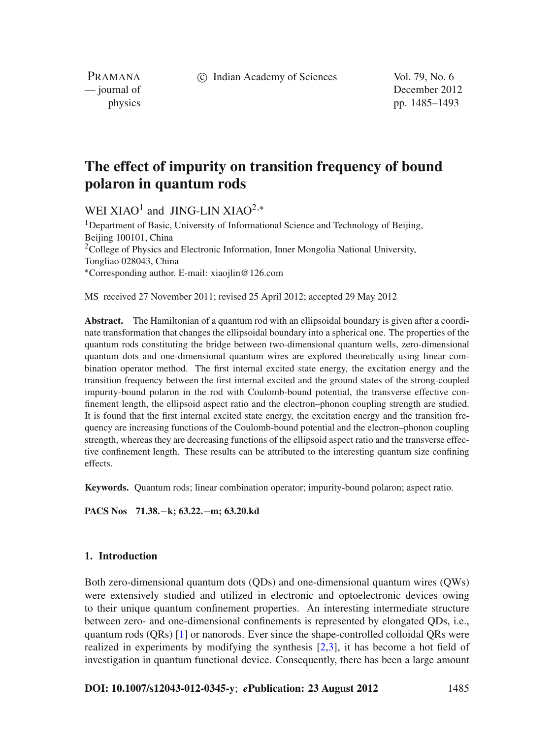c Indian Academy of Sciences Vol. 79, No. 6

PRAMANA

— journal of December 2012 physics pp. 1485–1493

# **The effect of impurity on transition frequency of bound polaron in quantum rods**

WEI XIAO<sup>1</sup> and JING-LIN XIAO<sup>2,\*</sup>

<sup>1</sup>Department of Basic, University of Informational Science and Technology of Beijing, Beijing 100101, China <sup>2</sup>College of Physics and Electronic Information, Inner Mongolia National University, Tongliao 028043, China <sup>∗</sup>Corresponding author. E-mail: xiaojlin@126.com

MS received 27 November 2011; revised 25 April 2012; accepted 29 May 2012

**Abstract.** The Hamiltonian of a quantum rod with an ellipsoidal boundary is given after a coordinate transformation that changes the ellipsoidal boundary into a spherical one. The properties of the quantum rods constituting the bridge between two-dimensional quantum wells, zero-dimensional quantum dots and one-dimensional quantum wires are explored theoretically using linear combination operator method. The first internal excited state energy, the excitation energy and the transition frequency between the first internal excited and the ground states of the strong-coupled impurity-bound polaron in the rod with Coulomb-bound potential, the transverse effective confinement length, the ellipsoid aspect ratio and the electron–phonon coupling strength are studied. It is found that the first internal excited state energy, the excitation energy and the transition frequency are increasing functions of the Coulomb-bound potential and the electron–phonon coupling strength, whereas they are decreasing functions of the ellipsoid aspect ratio and the transverse effective confinement length. These results can be attributed to the interesting quantum size confining effects.

**Keywords.** Quantum rods; linear combination operator; impurity-bound polaron; aspect ratio.

**PACS Nos 71.38.**−**k; 63.22.**−**m; 63.20.kd**

# **1. Introduction**

Both zero-dimensional quantum dots (QDs) and one-dimensional quantum wires (QWs) were extensively studied and utilized in electronic and optoelectronic devices owing to their unique quantum confinement properties. An interesting intermediate structure between zero- and one-dimensional confinements is represented by elongated QDs, i.e., quantum rods (QRs) [\[1\]](#page-7-0) or nanorods. Ever since the shape-controlled colloidal QRs were realized in experiments by modifying the synthesis [\[2](#page-7-1)[,3](#page-7-2)], it has become a hot field of investigation in quantum functional device. Consequently, there has been a large amount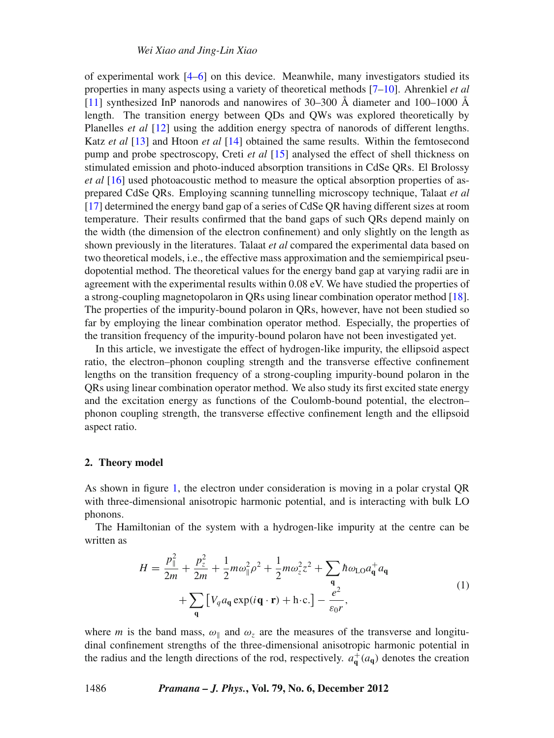of experimental work [\[4](#page-7-3)[–6](#page-7-4)] on this device. Meanwhile, many investigators studied its properties in many aspects using a variety of theoretical methods [\[7](#page-7-5)[–10](#page-8-0)]. Ahrenkiel *et al* [\[11](#page-8-1)] synthesized InP nanorods and nanowires of 30–300 Å diameter and 100–1000 Å length. The transition energy between QDs and QWs was explored theoretically by Planelles *et al* [\[12\]](#page-8-2) using the addition energy spectra of nanorods of different lengths. Katz *et al* [\[13](#page-8-3)] and Htoon *et al* [\[14](#page-8-4)] obtained the same results. Within the femtosecond pump and probe spectroscopy, Creti *et al* [\[15\]](#page-8-5) analysed the effect of shell thickness on stimulated emission and photo-induced absorption transitions in CdSe QRs. El Brolossy *et al* [\[16\]](#page-8-6) used photoacoustic method to measure the optical absorption properties of asprepared CdSe QRs. Employing scanning tunnelling microscopy technique, Talaat *et al* [\[17](#page-8-7)] determined the energy band gap of a series of CdSe QR having different sizes at room temperature. Their results confirmed that the band gaps of such QRs depend mainly on the width (the dimension of the electron confinement) and only slightly on the length as shown previously in the literatures. Talaat *et al* compared the experimental data based on two theoretical models, i.e., the effective mass approximation and the semiempirical pseudopotential method. The theoretical values for the energy band gap at varying radii are in agreement with the experimental results within 0.08 eV. We have studied the properties of a strong-coupling magnetopolaron in QRs using linear combination operator method [\[18](#page-8-8)]. The properties of the impurity-bound polaron in QRs, however, have not been studied so far by employing the linear combination operator method. Especially, the properties of the transition frequency of the impurity-bound polaron have not been investigated yet.

In this article, we investigate the effect of hydrogen-like impurity, the ellipsoid aspect ratio, the electron–phonon coupling strength and the transverse effective confinement lengths on the transition frequency of a strong-coupling impurity-bound polaron in the QRs using linear combination operator method. We also study its first excited state energy and the excitation energy as functions of the Coulomb-bound potential, the electron– phonon coupling strength, the transverse effective confinement length and the ellipsoid aspect ratio.

#### **2. Theory model**

As shown in figure [1,](#page-2-0) the electron under consideration is moving in a polar crystal QR with three-dimensional anisotropic harmonic potential, and is interacting with bulk LO phonons.

The Hamiltonian of the system with a hydrogen-like impurity at the centre can be written as

<span id="page-1-0"></span>
$$
H = \frac{p_{\parallel}^2}{2m} + \frac{p_{z}^2}{2m} + \frac{1}{2}m\omega_{\parallel}^2 \rho^2 + \frac{1}{2}m\omega_{z}^2 z^2 + \sum_{\mathbf{q}} \hbar \omega_{\text{LO}} a_{\mathbf{q}}^+ a_{\mathbf{q}} + \sum_{\mathbf{q}} \left[ V_q a_{\mathbf{q}} \exp(i\mathbf{q} \cdot \mathbf{r}) + \text{h} \cdot \text{c.} \right] - \frac{e^2}{\varepsilon_0 r}, \tag{1}
$$

where *m* is the band mass,  $\omega_{\parallel}$  and  $\omega_z$  are the measures of the transverse and longitudinal confinement strengths of the three-dimensional anisotropic harmonic potential in the radius and the length directions of the rod, respectively.  $a_q^+(a_q)$  denotes the creation

1486 *Pramana – J. Phys.***, Vol. 79, No. 6, December 2012**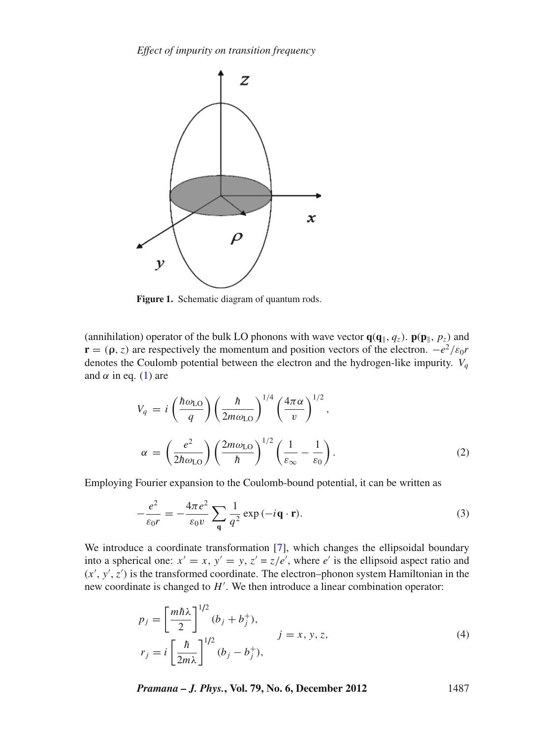*Effect of impurity on transition frequency*

<span id="page-2-0"></span>

**Figure 1.** Schematic diagram of quantum rods.

(annihilation) operator of the bulk LO phonons with wave vector  $\mathbf{q}(\mathbf{q}_{\parallel}, q_z)$ .  $\mathbf{p}(\mathbf{p}_{\parallel}, p_z)$  and  $\mathbf{r} = (\rho, z)$  are respectively the momentum and position vectors of the electron.  $-e^2/\varepsilon_0 r$ denotes the Coulomb potential between the electron and the hydrogen-like impurity.  $V_q$ and  $\alpha$  in eq. [\(1\)](#page-1-0) are

$$
V_q = i \left(\frac{\hbar \omega_{\text{LO}}}{q}\right) \left(\frac{\hbar}{2m\omega_{\text{LO}}}\right)^{1/4} \left(\frac{4\pi\alpha}{v}\right)^{1/2},
$$

$$
\alpha = \left(\frac{e^2}{2\hbar\omega_{\text{LO}}}\right) \left(\frac{2m\omega_{\text{LO}}}{\hbar}\right)^{1/2} \left(\frac{1}{\varepsilon_{\infty}} - \frac{1}{\varepsilon_0}\right).
$$
(2)

Employing Fourier expansion to the Coulomb-bound potential, it can be written as

$$
-\frac{e^2}{\varepsilon_0 r} = -\frac{4\pi e^2}{\varepsilon_0 v} \sum_{\mathbf{q}} \frac{1}{q^2} \exp\left(-i\mathbf{q} \cdot \mathbf{r}\right).
$$
 (3)

We introduce a coordinate transformation [\[7](#page-7-5)], which changes the ellipsoidal boundary into a spherical one:  $x' = x$ ,  $y' = y$ ,  $z' = z/e'$ , where *e'* is the ellipsoid aspect ratio and (*x* , *y* , *z* ) is the transformed coordinate. The electron–phonon system Hamiltonian in the new coordinate is changed to *H* . We then introduce a linear combination operator:

<span id="page-2-1"></span>
$$
p_j = \left[\frac{m\hbar\lambda}{2}\right]^{1/2} (b_j + b_j^+),
$$
  
\n
$$
r_j = i \left[\frac{\hbar}{2m\lambda}\right]^{1/2} (b_j - b_j^+),
$$
  
\n(4)

*Pramana – J. Phys.***, Vol. 79, No. 6, December 2012** 1487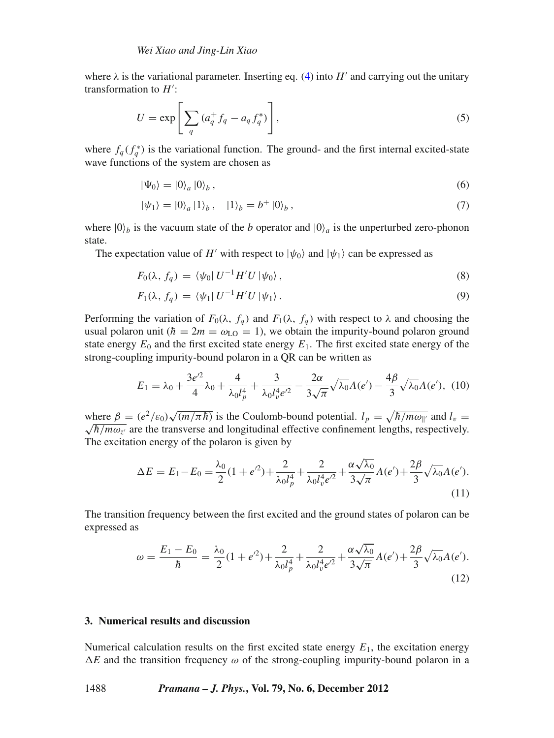where  $\lambda$  is the variational parameter. Inserting eq. [\(4\)](#page-2-1) into *H'* and carrying out the unitary transformation to *H* :

$$
U = \exp\left[\sum_{q} \left(a_q^+ f_q - a_q f_q^*\right)\right],\tag{5}
$$

where  $f_q(f_q^*)$  is the variational function. The ground- and the first internal excited-state wave functions of the system are chosen as

$$
|\Psi_0\rangle = |0\rangle_a |0\rangle_b , \qquad (6)
$$

$$
|\psi_1\rangle = |0\rangle_a |1\rangle_b, \quad |1\rangle_b = b^+ |0\rangle_b, \tag{7}
$$

where  $|0\rangle_b$  is the vacuum state of the *b* operator and  $|0\rangle_a$  is the unperturbed zero-phonon state.

The expectation value of *H'* with respect to  $|\psi_0\rangle$  and  $|\psi_1\rangle$  can be expressed as

$$
F_0(\lambda, f_q) = \langle \psi_0 | U^{-1} H' U | \psi_0 \rangle, \qquad (8)
$$

$$
F_1(\lambda, f_q) = \langle \psi_1 | U^{-1} H' U | \psi_1 \rangle. \tag{9}
$$

Performing the variation of  $F_0(\lambda, f_q)$  and  $F_1(\lambda, f_q)$  with respect to  $\lambda$  and choosing the usual polaron unit ( $\hbar = 2m = \omega_{LO} = 1$ ), we obtain the impurity-bound polaron ground state energy  $E_0$  and the first excited state energy  $E_1$ . The first excited state energy of the strong-coupling impurity-bound polaron in a QR can be written as

$$
E_1 = \lambda_0 + \frac{3e^{\prime 2}}{4}\lambda_0 + \frac{4}{\lambda_0 l_p^4} + \frac{3}{\lambda_0 l_v^4 e^{\prime 2}} - \frac{2\alpha}{3\sqrt{\pi}}\sqrt{\lambda_0}A(e^{\prime}) - \frac{4\beta}{3}\sqrt{\lambda_0}A(e^{\prime}), \tag{10}
$$

where  $\beta = (e^2/\varepsilon_0)\sqrt{(m/\pi\hbar)}$  is the Coulomb-bound potential.  $l_p = \sqrt{\hbar/m\omega_{\parallel'}}$  and  $l_v = \sqrt{\hbar/m\omega_{z'}}$  are the transverse and longitudinal effective confinement lengths, respectively. The excitation energy of the polaron is given by

<span id="page-3-0"></span>
$$
\Delta E = E_1 - E_0 = \frac{\lambda_0}{2} (1 + e^2) + \frac{2}{\lambda_0 l_p^4} + \frac{2}{\lambda_0 l_v^4 e^2} + \frac{\alpha \sqrt{\lambda_0}}{3 \sqrt{\pi}} A(e^2) + \frac{2\beta}{3} \sqrt{\lambda_0} A(e^2).
$$
\n(11)

The transition frequency between the first excited and the ground states of polaron can be expressed as

<span id="page-3-1"></span>
$$
\omega = \frac{E_1 - E_0}{\hbar} = \frac{\lambda_0}{2} (1 + e^{\prime 2}) + \frac{2}{\lambda_0 l_p^4} + \frac{2}{\lambda_0 l_v^4 e^{\prime 2}} + \frac{\alpha \sqrt{\lambda_0}}{3 \sqrt{\pi}} A(e^{\prime}) + \frac{2\beta}{3} \sqrt{\lambda_0} A(e^{\prime}).
$$
\n(12)

#### **3. Numerical results and discussion**

Numerical calculation results on the first excited state energy  $E_1$ , the excitation energy  $\Delta E$  and the transition frequency  $\omega$  of the strong-coupling impurity-bound polaron in a

1488 *Pramana – J. Phys.***, Vol. 79, No. 6, December 2012**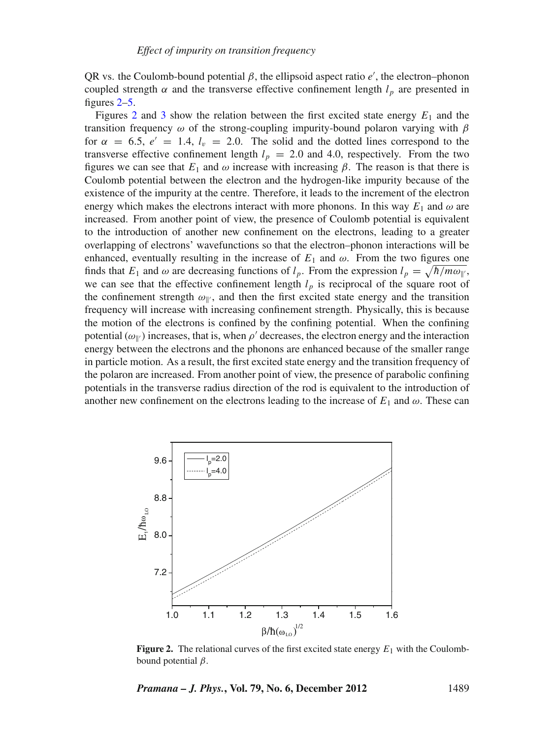QR vs. the Coulomb-bound potential  $\beta$ , the ellipsoid aspect ratio  $e'$ , the electron-phonon coupled strength  $\alpha$  and the transverse effective confinement length  $l_p$  are presented in figures [2–](#page-4-0)[5.](#page-6-0)

Figures [2](#page-4-0) and [3](#page-5-0) show the relation between the first excited state energy  $E_1$  and the transition frequency  $\omega$  of the strong-coupling impurity-bound polaron varying with  $\beta$ for  $\alpha = 6.5$ ,  $e' = 1.4$ ,  $l_v = 2.0$ . The solid and the dotted lines correspond to the transverse effective confinement length  $l_p = 2.0$  and 4.0, respectively. From the two figures we can see that *E*<sup>1</sup> and ω increase with increasing β. The reason is that there is Coulomb potential between the electron and the hydrogen-like impurity because of the existence of the impurity at the centre. Therefore, it leads to the increment of the electron energy which makes the electrons interact with more phonons. In this way  $E_1$  and  $\omega$  are increased. From another point of view, the presence of Coulomb potential is equivalent to the introduction of another new confinement on the electrons, leading to a greater overlapping of electrons' wavefunctions so that the electron–phonon interactions will be enhanced, eventually resulting in the increase of  $E_1$  and  $\omega$ . From the two figures one finds that  $E_1$  and  $\omega$  are decreasing functions of  $l_p$ . From the expression  $l_p = \sqrt{\hbar/m\omega_{\parallel}^2}$ , we can see that the effective confinement length  $l_p$  is reciprocal of the square root of the confinement strength  $\omega_{\parallel}$ , and then the first excited state energy and the transition frequency will increase with increasing confinement strength. Physically, this is because the motion of the electrons is confined by the confining potential. When the confining potential ( $\omega_{\parallel}$ ) increases, that is, when  $\rho'$  decreases, the electron energy and the interaction energy between the electrons and the phonons are enhanced because of the smaller range in particle motion. As a result, the first excited state energy and the transition frequency of the polaron are increased. From another point of view, the presence of parabolic confining potentials in the transverse radius direction of the rod is equivalent to the introduction of another new confinement on the electrons leading to the increase of  $E_1$  and  $\omega$ . These can

<span id="page-4-0"></span>

**Figure 2.** The relational curves of the first excited state energy  $E_1$  with the Coulombbound potential  $\beta$ .

*Pramana – J. Phys.***, Vol. 79, No. 6, December 2012** 1489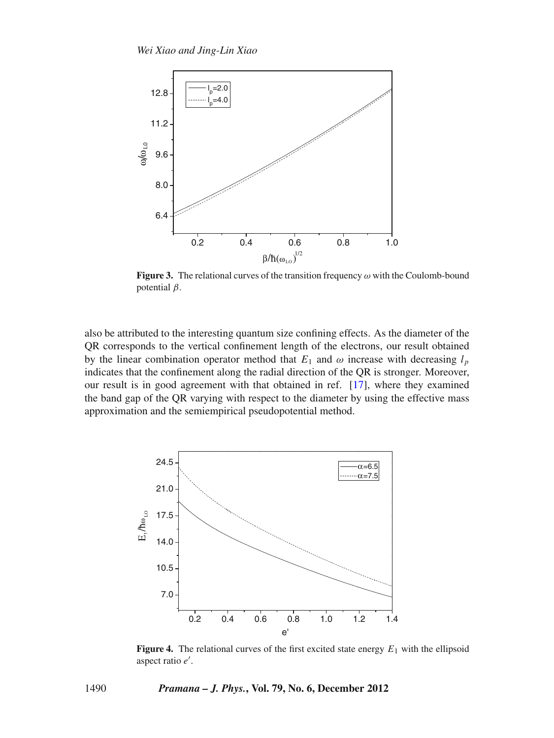<span id="page-5-0"></span>

**Figure 3.** The relational curves of the transition frequency  $\omega$  with the Coulomb-bound potential  $\beta$ .

also be attributed to the interesting quantum size confining effects. As the diameter of the QR corresponds to the vertical confinement length of the electrons, our result obtained by the linear combination operator method that  $E_1$  and  $\omega$  increase with decreasing  $l_p$ indicates that the confinement along the radial direction of the QR is stronger. Moreover, our result is in good agreement with that obtained in ref. [\[17](#page-8-7)], where they examined the band gap of the QR varying with respect to the diameter by using the effective mass approximation and the semiempirical pseudopotential method.

<span id="page-5-1"></span>

**Figure 4.** The relational curves of the first excited state energy  $E_1$  with the ellipsoid aspect ratio *e* .

1490 *Pramana – J. Phys.***, Vol. 79, No. 6, December 2012**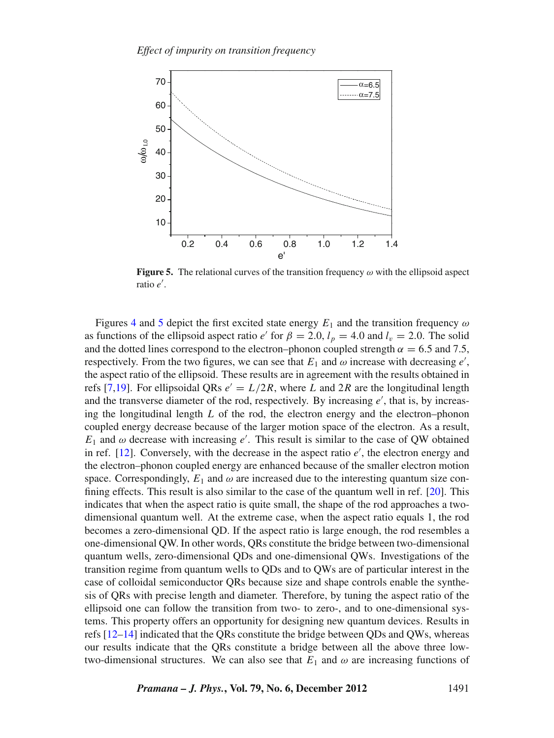<span id="page-6-0"></span>

**Figure 5.** The relational curves of the transition frequency  $\omega$  with the ellipsoid aspect ratio *e* .

Figures [4](#page-5-1) and [5](#page-6-0) depict the first excited state energy  $E_1$  and the transition frequency  $\omega$ as functions of the ellipsoid aspect ratio  $e'$  for  $\beta = 2.0$ ,  $l_p = 4.0$  and  $l_v = 2.0$ . The solid and the dotted lines correspond to the electron–phonon coupled strength  $\alpha = 6.5$  and 7.5, respectively. From the two figures, we can see that  $E_1$  and  $\omega$  increase with decreasing  $e'$ , the aspect ratio of the ellipsoid. These results are in agreement with the results obtained in refs [\[7](#page-7-5)[,19](#page-8-9)]. For ellipsoidal QRs  $e' = L/2R$ , where L and 2R are the longitudinal length and the transverse diameter of the rod, respectively. By increasing  $e'$ , that is, by increasing the longitudinal length *L* of the rod, the electron energy and the electron–phonon coupled energy decrease because of the larger motion space of the electron. As a result,  $E_1$  and  $\omega$  decrease with increasing  $e'$ . This result is similar to the case of QW obtained in ref. [\[12](#page-8-2)]. Conversely, with the decrease in the aspect ratio *e* , the electron energy and the electron–phonon coupled energy are enhanced because of the smaller electron motion space. Correspondingly,  $E_1$  and  $\omega$  are increased due to the interesting quantum size confining effects. This result is also similar to the case of the quantum well in ref. [\[20\]](#page-8-10). This indicates that when the aspect ratio is quite small, the shape of the rod approaches a twodimensional quantum well. At the extreme case, when the aspect ratio equals 1, the rod becomes a zero-dimensional QD. If the aspect ratio is large enough, the rod resembles a one-dimensional QW. In other words, QRs constitute the bridge between two-dimensional quantum wells, zero-dimensional QDs and one-dimensional QWs. Investigations of the transition regime from quantum wells to QDs and to QWs are of particular interest in the case of colloidal semiconductor QRs because size and shape controls enable the synthesis of QRs with precise length and diameter. Therefore, by tuning the aspect ratio of the ellipsoid one can follow the transition from two- to zero-, and to one-dimensional systems. This property offers an opportunity for designing new quantum devices. Results in refs [\[12](#page-8-2)[–14](#page-8-4)] indicated that the QRs constitute the bridge between QDs and QWs, whereas our results indicate that the QRs constitute a bridge between all the above three lowtwo-dimensional structures. We can also see that  $E_1$  and  $\omega$  are increasing functions of

*Pramana – J. Phys.***, Vol. 79, No. 6, December 2012** 1491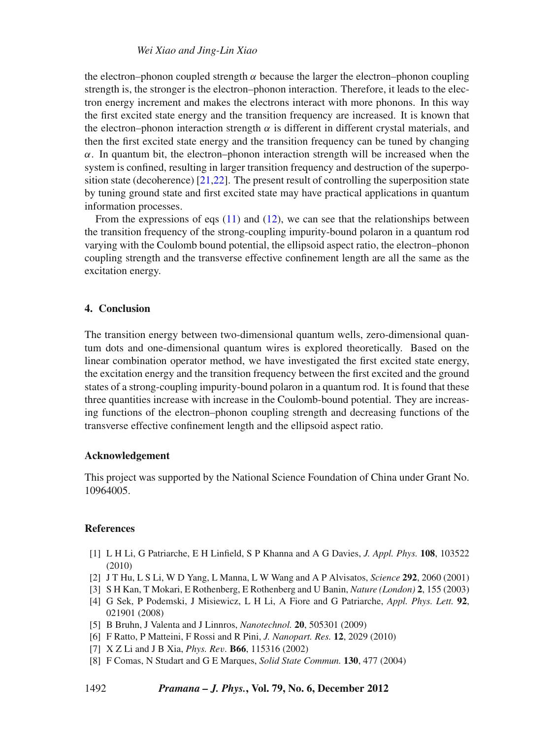# *Wei Xiao and Jing-Lin Xiao*

the electron–phonon coupled strength  $\alpha$  because the larger the electron–phonon coupling strength is, the stronger is the electron–phonon interaction. Therefore, it leads to the electron energy increment and makes the electrons interact with more phonons. In this way the first excited state energy and the transition frequency are increased. It is known that the electron–phonon interaction strength  $\alpha$  is different in different crystal materials, and then the first excited state energy and the transition frequency can be tuned by changing  $\alpha$ . In quantum bit, the electron–phonon interaction strength will be increased when the system is confined, resulting in larger transition frequency and destruction of the superposition state (decoherence) [\[21](#page-8-11)[,22\]](#page-8-12). The present result of controlling the superposition state by tuning ground state and first excited state may have practical applications in quantum information processes.

From the expressions of eqs  $(11)$  and  $(12)$ , we can see that the relationships between the transition frequency of the strong-coupling impurity-bound polaron in a quantum rod varying with the Coulomb bound potential, the ellipsoid aspect ratio, the electron–phonon coupling strength and the transverse effective confinement length are all the same as the excitation energy.

# **4. Conclusion**

The transition energy between two-dimensional quantum wells, zero-dimensional quantum dots and one-dimensional quantum wires is explored theoretically. Based on the linear combination operator method, we have investigated the first excited state energy, the excitation energy and the transition frequency between the first excited and the ground states of a strong-coupling impurity-bound polaron in a quantum rod. It is found that these three quantities increase with increase in the Coulomb-bound potential. They are increasing functions of the electron–phonon coupling strength and decreasing functions of the transverse effective confinement length and the ellipsoid aspect ratio.

#### **Acknowledgement**

This project was supported by the National Science Foundation of China under Grant No. 10964005.

#### **References**

- <span id="page-7-0"></span>[1] L H Li, G Patriarche, E H Linfield, S P Khanna and A G Davies, *J. Appl. Phys.* **108**, 103522 (2010)
- <span id="page-7-1"></span>[2] J T Hu, L S Li, W D Yang, L Manna, L W Wang and A P Alvisatos, *Science* **292**, 2060 (2001)
- <span id="page-7-2"></span>[3] S H Kan, T Mokari, E Rothenberg, E Rothenberg and U Banin, *Nature (London)* **2**, 155 (2003)
- <span id="page-7-3"></span>[4] G Sek, P Podemski, J Misiewicz, L H Li, A Fiore and G Patriarche, *Appl. Phys. Lett.* **92**, 021901 (2008)
- [5] B Bruhn, J Valenta and J Linnros, *Nanotechnol.* **20**, 505301 (2009)
- <span id="page-7-4"></span>[6] F Ratto, P Matteini, F Rossi and R Pini, *J. Nanopart. Res.* **12**, 2029 (2010)
- <span id="page-7-5"></span>[7] X Z Li and J B Xia, *Phys. Re*v*.* **B66**, 115316 (2002)
- [8] F Comas, N Studart and G E Marques, *Solid State Commun.* **130**, 477 (2004)